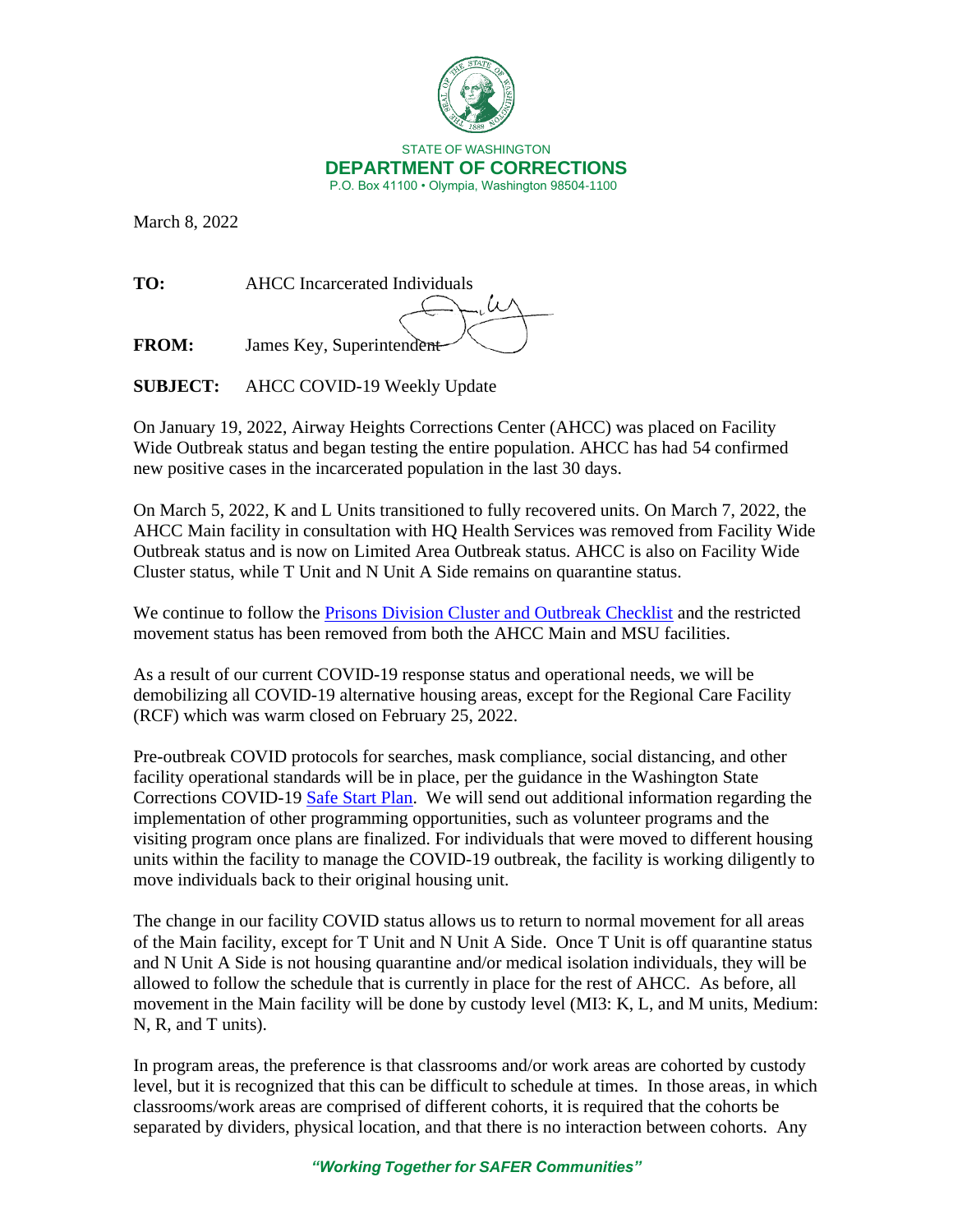

March 8, 2022

**TO:** AHCC Incarcerated Individuals **FROM:** James Key, Superintendent

**SUBJECT:** AHCC COVID-19 Weekly Update

On January 19, 2022, Airway Heights Corrections Center (AHCC) was placed on Facility Wide Outbreak status and began testing the entire population. AHCC has had 54 confirmed new positive cases in the incarcerated population in the last 30 days.

On March 5, 2022, K and L Units transitioned to fully recovered units. On March 7, 2022, the AHCC Main facility in consultation with HQ Health Services was removed from Facility Wide Outbreak status and is now on Limited Area Outbreak status. AHCC is also on Facility Wide Cluster status, while T Unit and N Unit A Side remains on quarantine status.

We continue to follow the [Prisons Division Cluster and Outbreak Checklist](https://doc.wa.gov/corrections/covid-19/docs/outbreak-checklist.pdf) and the restricted movement status has been removed from both the AHCC Main and MSU facilities.

As a result of our current COVID-19 response status and operational needs, we will be demobilizing all COVID-19 alternative housing areas, except for the Regional Care Facility (RCF) which was warm closed on February 25, 2022.

Pre-outbreak COVID protocols for searches, mask compliance, social distancing, and other facility operational standards will be in place, per the guidance in the Washington State Corrections COVID-19 [Safe Start Plan.](https://www.doc.wa.gov/docs/publications/100-SP015.pdf) We will send out additional information regarding the implementation of other programming opportunities, such as volunteer programs and the visiting program once plans are finalized. For individuals that were moved to different housing units within the facility to manage the COVID-19 outbreak, the facility is working diligently to move individuals back to their original housing unit.

The change in our facility COVID status allows us to return to normal movement for all areas of the Main facility, except for T Unit and N Unit A Side. Once T Unit is off quarantine status and N Unit A Side is not housing quarantine and/or medical isolation individuals, they will be allowed to follow the schedule that is currently in place for the rest of AHCC. As before, all movement in the Main facility will be done by custody level (MI3: K, L, and M units, Medium: N, R, and T units).

In program areas, the preference is that classrooms and/or work areas are cohorted by custody level, but it is recognized that this can be difficult to schedule at times. In those areas, in which classrooms/work areas are comprised of different cohorts, it is required that the cohorts be separated by dividers, physical location, and that there is no interaction between cohorts. Any

*"Working Together for SAFER Communities"*